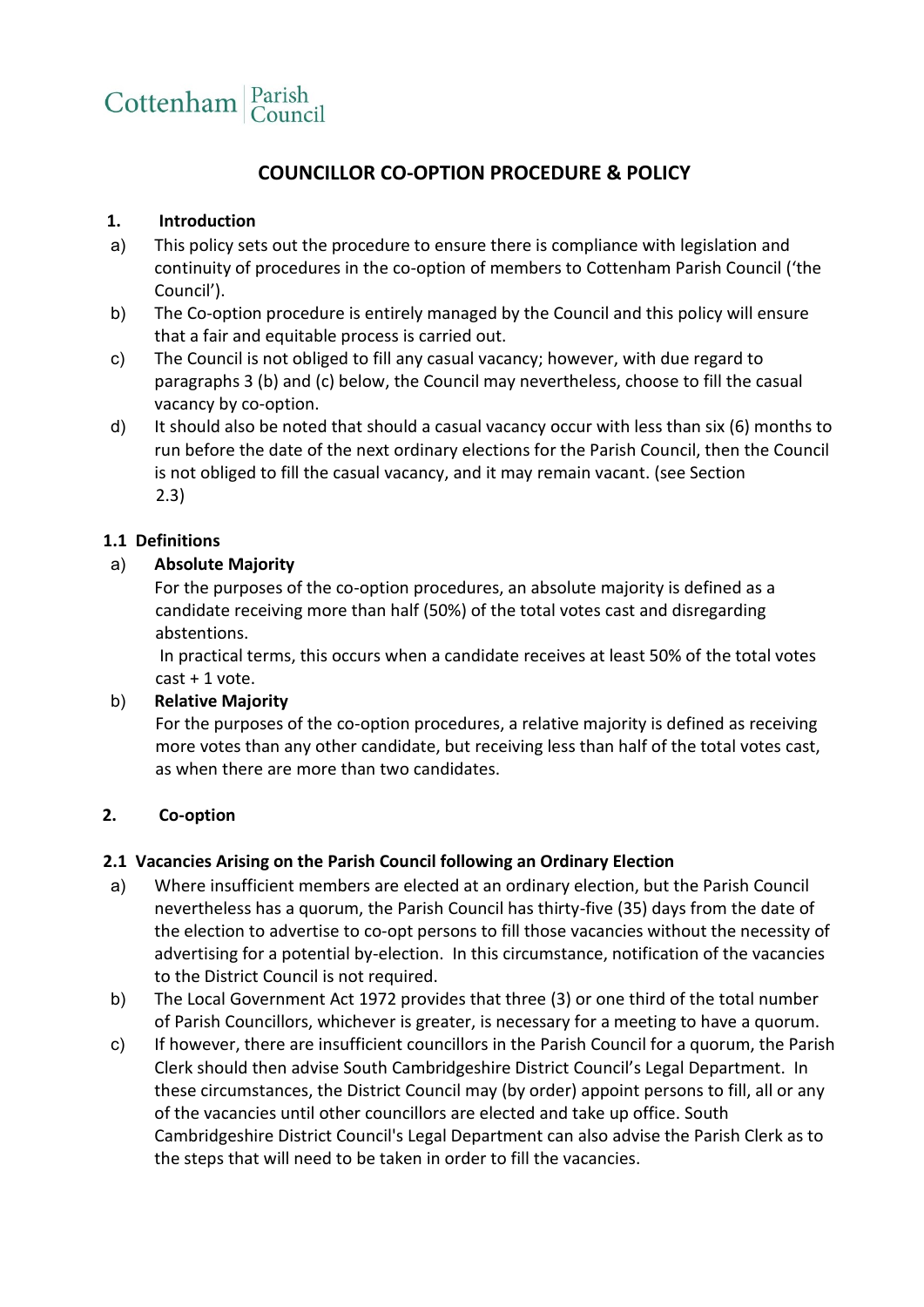

# **COUNCILLOR CO-OPTION PROCEDURE & POLICY**

## **1. Introduction**

- a) This policy sets out the procedure to ensure there is compliance with legislation and continuity of procedures in the co-option of members to Cottenham Parish Council ('the Council').
- b) The Co-option procedure is entirely managed by the Council and this policy will ensure that a fair and equitable process is carried out.
- c) The Council is not obliged to fill any casual vacancy; however, with due regard to paragraphs 3 (b) and (c) below, the Council may nevertheless, choose to fill the casual vacancy by co-option.
- d) It should also be noted that should a casual vacancy occur with less than six (6) months to run before the date of the next ordinary elections for the Parish Council, then the Council is not obliged to fill the casual vacancy, and it may remain vacant. (see Section 2.3)

### **1.1 Definitions**

### a) **Absolute Majority**

For the purposes of the co-option procedures, an absolute majority is defined as a candidate receiving more than half (50%) of the total votes cast and disregarding abstentions.

In practical terms, this occurs when a candidate receives at least 50% of the total votes cast + 1 vote.

### b) **Relative Majority**

 For the purposes of the co-option procedures, a relative majority is defined as receiving more votes than any other candidate, but receiving less than half of the total votes cast, as when there are more than two candidates.

### **2. Co-option**

### **2.1 Vacancies Arising on the Parish Council following an Ordinary Election**

- a) Where insufficient members are elected at an ordinary election, but the Parish Council nevertheless has a quorum, the Parish Council has thirty-five (35) days from the date of the election to advertise to co-opt persons to fill those vacancies without the necessity of advertising for a potential by-election. In this circumstance, notification of the vacancies to the District Council is not required.
- b) The Local Government Act 1972 provides that three (3) or one third of the total number of Parish Councillors, whichever is greater, is necessary for a meeting to have a quorum.
- c) If however, there are insufficient councillors in the Parish Council for a quorum, the Parish Clerk should then advise South Cambridgeshire District Council's Legal Department. In these circumstances, the District Council may (by order) appoint persons to fill, all or any of the vacancies until other councillors are elected and take up office. South Cambridgeshire District Council's Legal Department can also advise the Parish Clerk as to the steps that will need to be taken in order to fill the vacancies.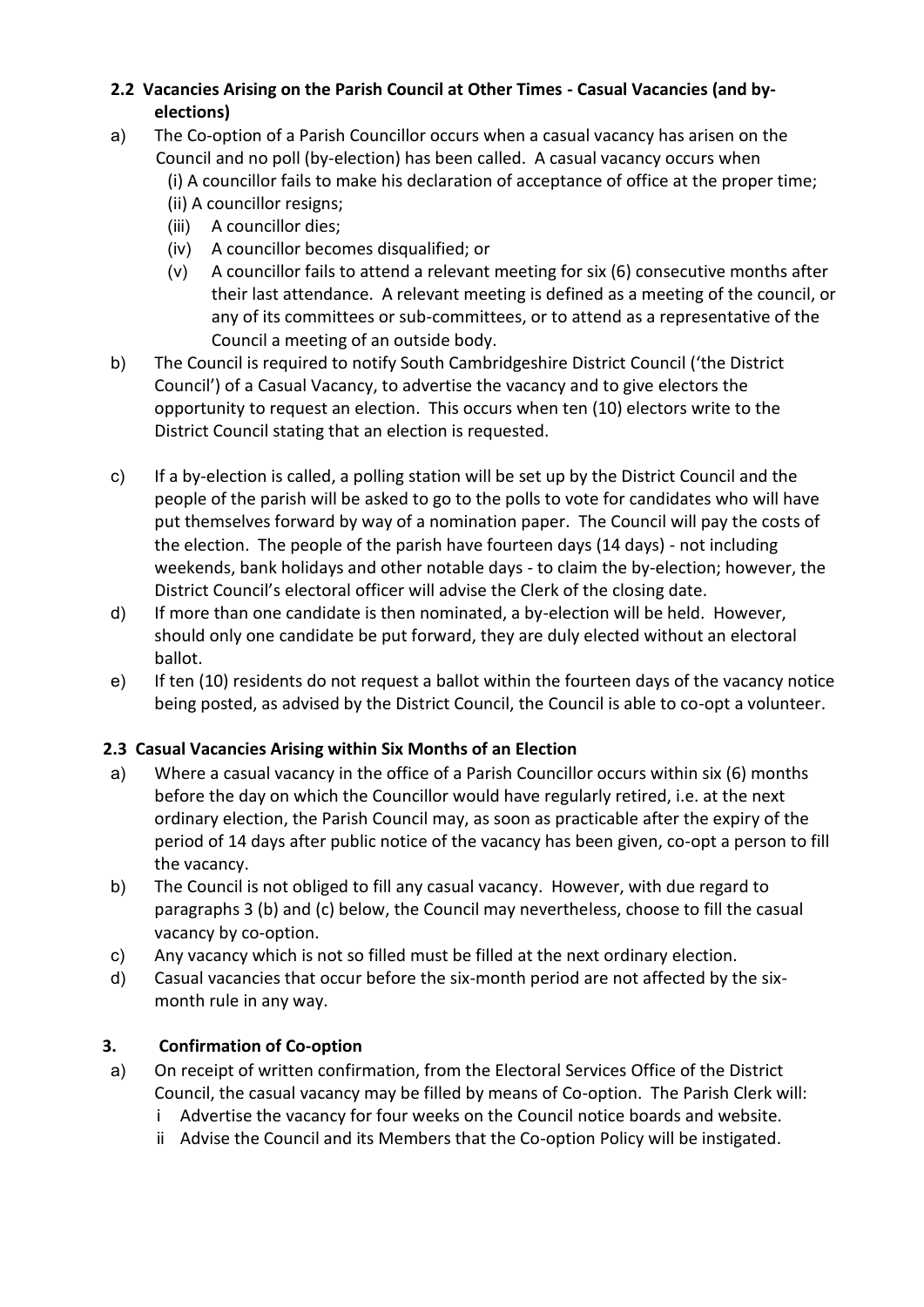# **2.2 Vacancies Arising on the Parish Council at Other Times - Casual Vacancies (and byelections)**

- a) The Co-option of a Parish Councillor occurs when a casual vacancy has arisen on the Council and no poll (by-election) has been called. A casual vacancy occurs when
	- (i) A councillor fails to make his declaration of acceptance of office at the proper time;
	- (ii) A councillor resigns;
	- (iii) A councillor dies;
	- (iv) A councillor becomes disqualified; or
	- (v) A councillor fails to attend a relevant meeting for six (6) consecutive months after their last attendance. A relevant meeting is defined as a meeting of the council, or any of its committees or sub-committees, or to attend as a representative of the Council a meeting of an outside body.
- b) The Council is required to notify South Cambridgeshire District Council ('the District Council') of a Casual Vacancy, to advertise the vacancy and to give electors the opportunity to request an election. This occurs when ten (10) electors write to the District Council stating that an election is requested.
- c) If a by-election is called, a polling station will be set up by the District Council and the people of the parish will be asked to go to the polls to vote for candidates who will have put themselves forward by way of a nomination paper. The Council will pay the costs of the election. The people of the parish have fourteen days (14 days) - not including weekends, bank holidays and other notable days - to claim the by-election; however, the District Council's electoral officer will advise the Clerk of the closing date.
- d) If more than one candidate is then nominated, a by-election will be held. However, should only one candidate be put forward, they are duly elected without an electoral ballot.
- e) If ten (10) residents do not request a ballot within the fourteen days of the vacancy notice being posted, as advised by the District Council, the Council is able to co-opt a volunteer.

# **2.3 Casual Vacancies Arising within Six Months of an Election**

- a) Where a casual vacancy in the office of a Parish Councillor occurs within six (6) months before the day on which the Councillor would have regularly retired, i.e. at the next ordinary election, the Parish Council may, as soon as practicable after the expiry of the period of 14 days after public notice of the vacancy has been given, co-opt a person to fill the vacancy.
- b) The Council is not obliged to fill any casual vacancy. However, with due regard to paragraphs 3 (b) and (c) below, the Council may nevertheless, choose to fill the casual vacancy by co-option.
- c) Any vacancy which is not so filled must be filled at the next ordinary election.
- d) Casual vacancies that occur before the six-month period are not affected by the sixmonth rule in any way.

# **3. Confirmation of Co-option**

- a) On receipt of written confirmation, from the Electoral Services Office of the District Council, the casual vacancy may be filled by means of Co-option. The Parish Clerk will:
	- i Advertise the vacancy for four weeks on the Council notice boards and website.
	- ii Advise the Council and its Members that the Co-option Policy will be instigated.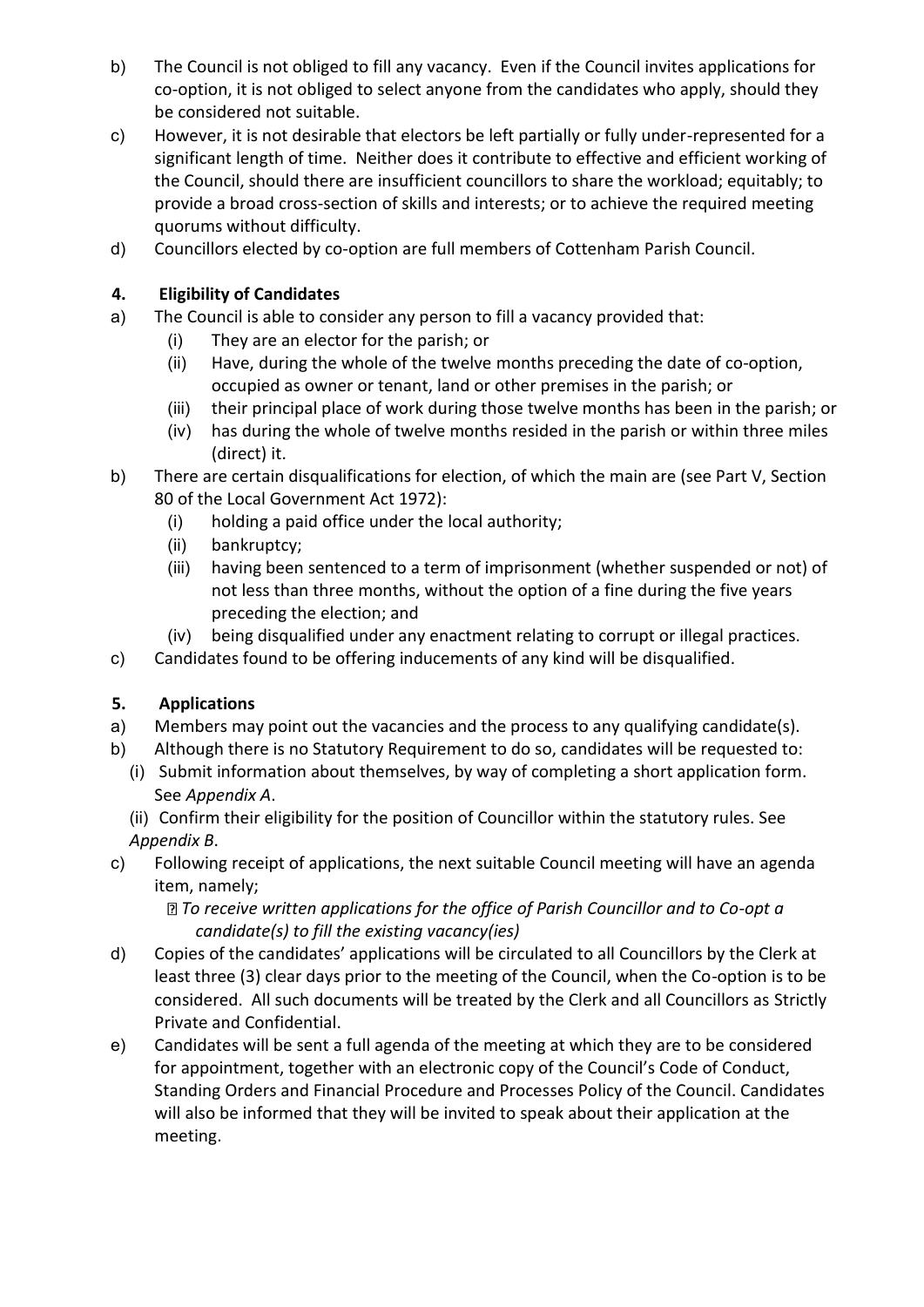- b) The Council is not obliged to fill any vacancy. Even if the Council invites applications for co-option, it is not obliged to select anyone from the candidates who apply, should they be considered not suitable.
- c) However, it is not desirable that electors be left partially or fully under-represented for a significant length of time. Neither does it contribute to effective and efficient working of the Council, should there are insufficient councillors to share the workload; equitably; to provide a broad cross-section of skills and interests; or to achieve the required meeting quorums without difficulty.
- d) Councillors elected by co-option are full members of Cottenham Parish Council.

# **4. Eligibility of Candidates**

- a) The Council is able to consider any person to fill a vacancy provided that:
	- (i) They are an elector for the parish; or
	- (ii) Have, during the whole of the twelve months preceding the date of co-option, occupied as owner or tenant, land or other premises in the parish; or
	- (iii) their principal place of work during those twelve months has been in the parish; or
	- (iv) has during the whole of twelve months resided in the parish or within three miles (direct) it.
- b) There are certain disqualifications for election, of which the main are (see Part V, Section 80 of the Local Government Act 1972):
	- (i) holding a paid office under the local authority;
	- (ii) bankruptcy;
	- (iii) having been sentenced to a term of imprisonment (whether suspended or not) of not less than three months, without the option of a fine during the five years preceding the election; and
	- (iv) being disqualified under any enactment relating to corrupt or illegal practices.
- c) Candidates found to be offering inducements of any kind will be disqualified.

# **5. Applications**

- a) Members may point out the vacancies and the process to any qualifying candidate(s).
- b) Although there is no Statutory Requirement to do so, candidates will be requested to:
	- (i) Submit information about themselves, by way of completing a short application form. See *Appendix A*.

(ii) Confirm their eligibility for the position of Councillor within the statutory rules. See *Appendix B*.

c) Following receipt of applications, the next suitable Council meeting will have an agenda item, namely;

*To receive written applications for the office of Parish Councillor and to Co-opt a candidate(s) to fill the existing vacancy(ies)* 

- d) Copies of the candidates' applications will be circulated to all Councillors by the Clerk at least three (3) clear days prior to the meeting of the Council, when the Co-option is to be considered. All such documents will be treated by the Clerk and all Councillors as Strictly Private and Confidential.
- e) Candidates will be sent a full agenda of the meeting at which they are to be considered for appointment, together with an electronic copy of the Council's Code of Conduct, Standing Orders and Financial Procedure and Processes Policy of the Council. Candidates will also be informed that they will be invited to speak about their application at the meeting.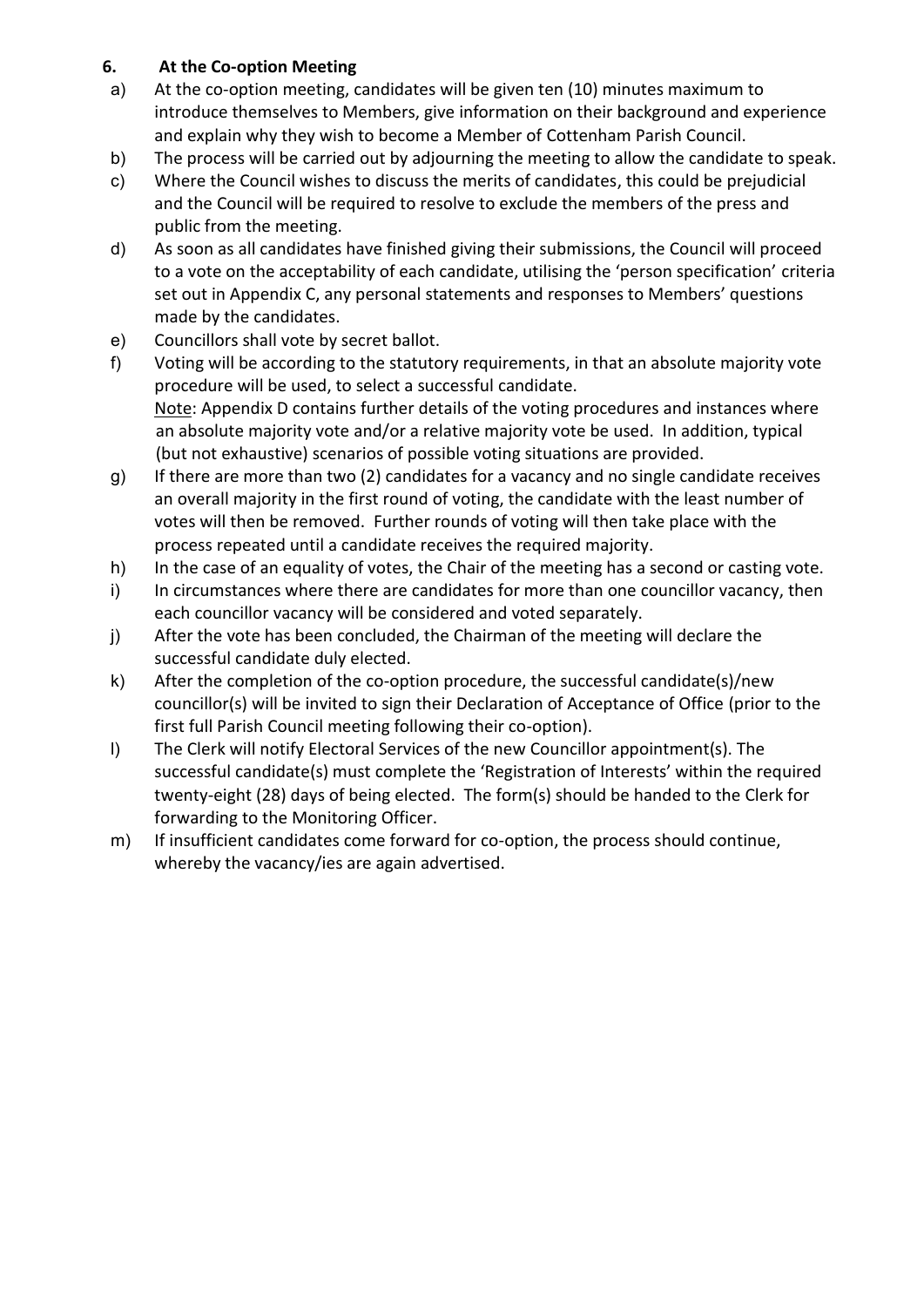# **6. At the Co-option Meeting**

- a) At the co-option meeting, candidates will be given ten (10) minutes maximum to introduce themselves to Members, give information on their background and experience and explain why they wish to become a Member of Cottenham Parish Council.
- b) The process will be carried out by adjourning the meeting to allow the candidate to speak.
- c) Where the Council wishes to discuss the merits of candidates, this could be prejudicial and the Council will be required to resolve to exclude the members of the press and public from the meeting.
- d) As soon as all candidates have finished giving their submissions, the Council will proceed to a vote on the acceptability of each candidate, utilising the 'person specification' criteria set out in Appendix C, any personal statements and responses to Members' questions made by the candidates.
- e) Councillors shall vote by secret ballot.
- f) Voting will be according to the statutory requirements, in that an absolute majority vote procedure will be used, to select a successful candidate. Note: Appendix D contains further details of the voting procedures and instances where an absolute majority vote and/or a relative majority vote be used. In addition, typical (but not exhaustive) scenarios of possible voting situations are provided.
- g) If there are more than two (2) candidates for a vacancy and no single candidate receives an overall majority in the first round of voting, the candidate with the least number of votes will then be removed. Further rounds of voting will then take place with the process repeated until a candidate receives the required majority.
- h) In the case of an equality of votes, the Chair of the meeting has a second or casting vote.
- i) In circumstances where there are candidates for more than one councillor vacancy, then each councillor vacancy will be considered and voted separately.
- j) After the vote has been concluded, the Chairman of the meeting will declare the successful candidate duly elected.
- k) After the completion of the co-option procedure, the successful candidate(s)/new councillor(s) will be invited to sign their Declaration of Acceptance of Office (prior to the first full Parish Council meeting following their co-option).
- l) The Clerk will notify Electoral Services of the new Councillor appointment(s). The successful candidate(s) must complete the 'Registration of Interests' within the required twenty-eight (28) days of being elected. The form(s) should be handed to the Clerk for forwarding to the Monitoring Officer.
- m) If insufficient candidates come forward for co-option, the process should continue, whereby the vacancy/ies are again advertised.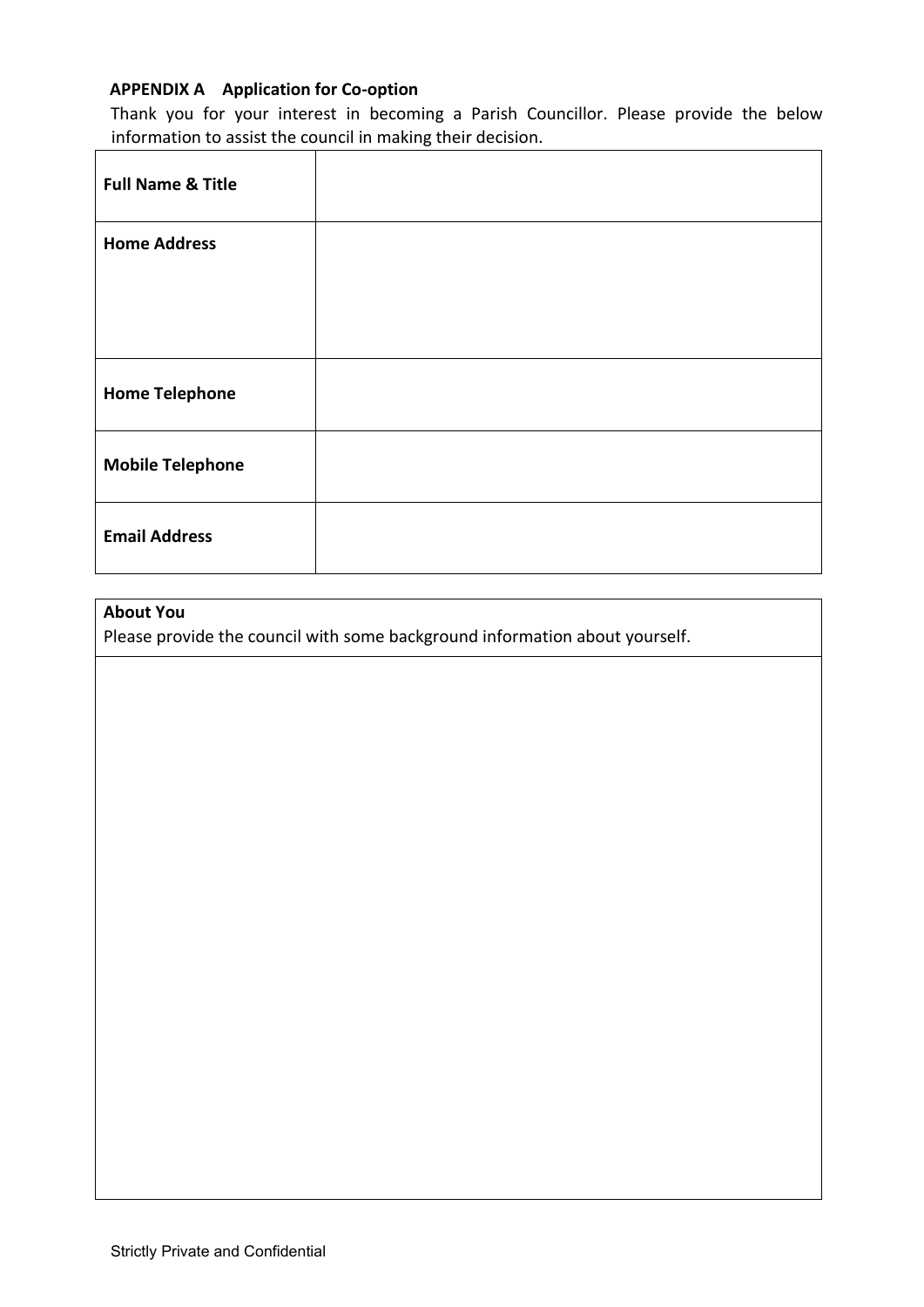## **APPENDIX A Application for Co-option**

Thank you for your interest in becoming a Parish Councillor. Please provide the below information to assist the council in making their decision.

| <b>Full Name &amp; Title</b> |  |
|------------------------------|--|
| <b>Home Address</b>          |  |
|                              |  |
| <b>Home Telephone</b>        |  |
| <b>Mobile Telephone</b>      |  |
| <b>Email Address</b>         |  |

## **About You**

Please provide the council with some background information about yourself.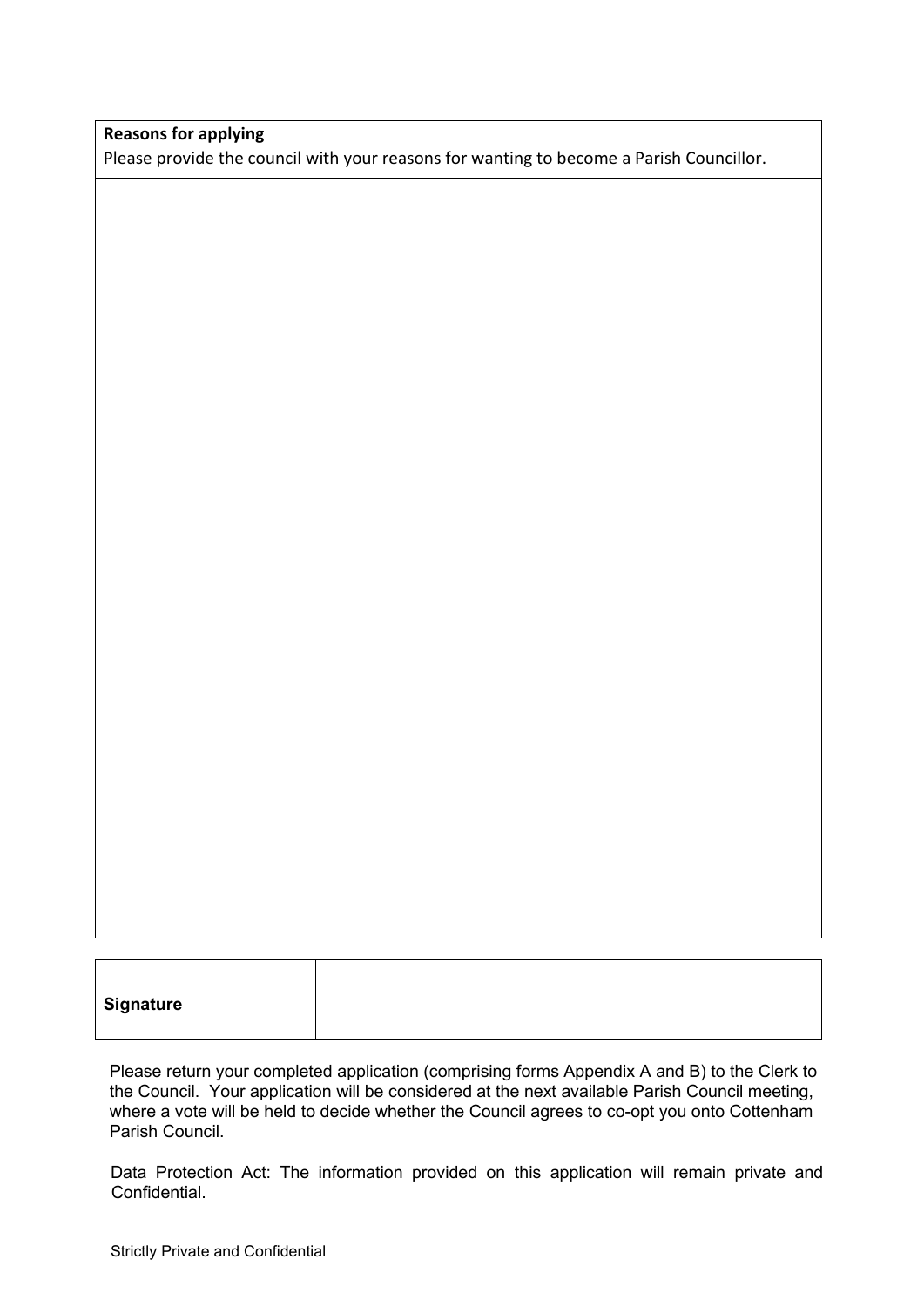#### **Reasons for applying**

Please provide the council with your reasons for wanting to become a Parish Councillor.

Please return your completed application (comprising forms Appendix A and B) to the Clerk to the Council. Your application will be considered at the next available Parish Council meeting, where a vote will be held to decide whether the Council agrees to co-opt you onto Cottenham Parish Council.

Data Protection Act: The information provided on this application will remain private and Confidential.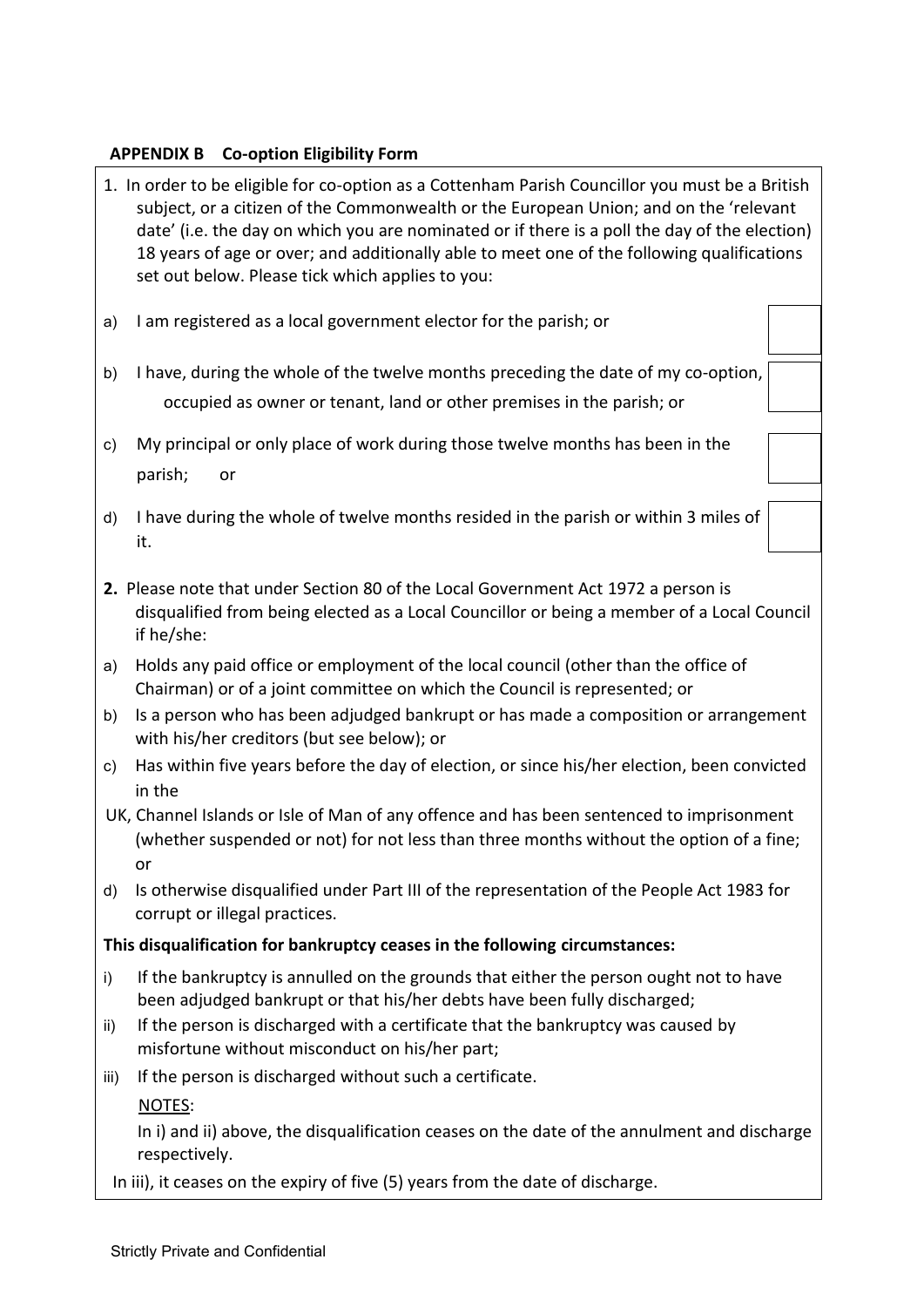## **APPENDIX B Co-option Eligibility Form**

- 1. In order to be eligible for co-option as a Cottenham Parish Councillor you must be a British subject, or a citizen of the Commonwealth or the European Union; and on the 'relevant date' (i.e. the day on which you are nominated or if there is a poll the day of the election) 18 years of age or over; and additionally able to meet one of the following qualifications set out below. Please tick which applies to you:
- a) I am registered as a local government elector for the parish; or
- b) I have, during the whole of the twelve months preceding the date of my co-option, occupied as owner or tenant, land or other premises in the parish; or
- c) My principal or only place of work during those twelve months has been in the parish; or
- d) I have during the whole of twelve months resided in the parish or within 3 miles of it.
- **2.** Please note that under Section 80 of the Local Government Act 1972 a person is disqualified from being elected as a Local Councillor or being a member of a Local Council if he/she:
- a) Holds any paid office or employment of the local council (other than the office of Chairman) or of a joint committee on which the Council is represented; or
- b) Is a person who has been adjudged bankrupt or has made a composition or arrangement with his/her creditors (but see below); or
- c) Has within five years before the day of election, or since his/her election, been convicted in the
- UK, Channel Islands or Isle of Man of any offence and has been sentenced to imprisonment (whether suspended or not) for not less than three months without the option of a fine; or
- d) Is otherwise disqualified under Part III of the representation of the People Act 1983 for corrupt or illegal practices.

# **This disqualification for bankruptcy ceases in the following circumstances:**

- i) If the bankruptcy is annulled on the grounds that either the person ought not to have been adjudged bankrupt or that his/her debts have been fully discharged;
- ii) If the person is discharged with a certificate that the bankruptcy was caused by misfortune without misconduct on his/her part;
- iii) If the person is discharged without such a certificate.

NOTES:

 In i) and ii) above, the disqualification ceases on the date of the annulment and discharge respectively.

In iii), it ceases on the expiry of five (5) years from the date of discharge.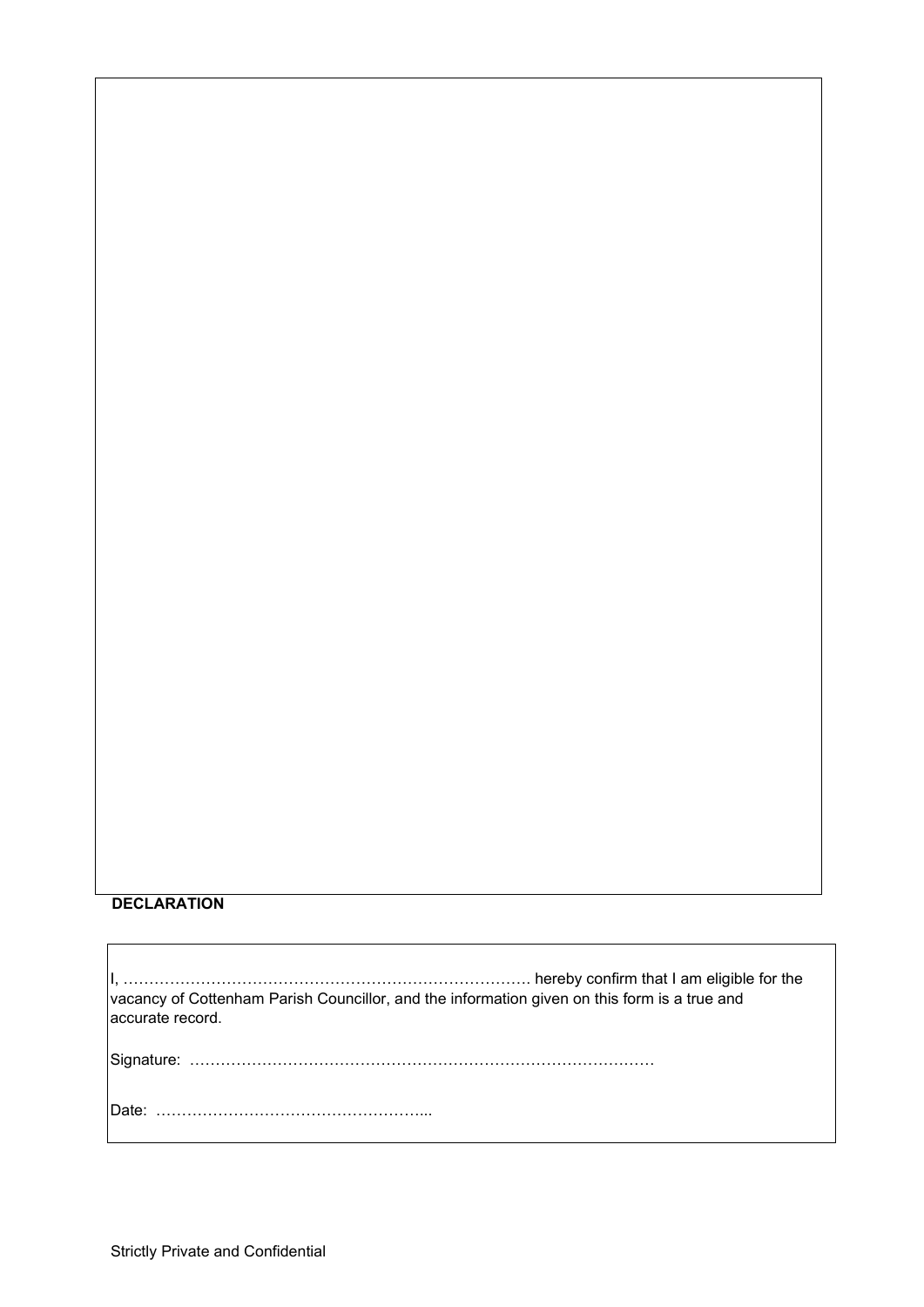#### **DECLARATION**

I, ……………………………………………………………………. hereby confirm that I am eligible for the vacancy of Cottenham Parish Councillor, and the information given on this form is a true and accurate record. Signature: ……………………………………………………………………………… Date: ……………………………………………...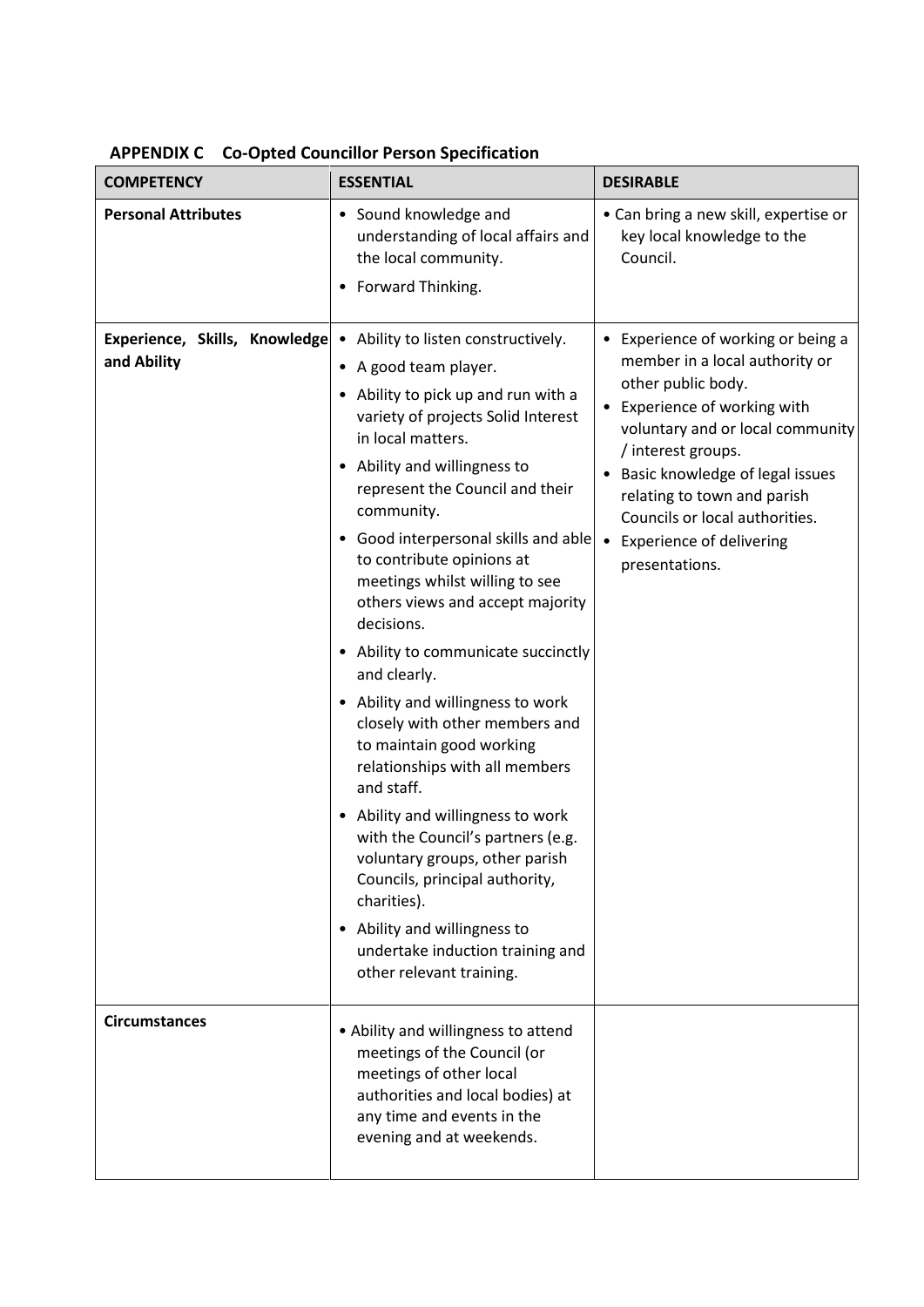| <b>COMPETENCY</b>                            | <b>ESSENTIAL</b>                                                                                                                                                                                                                                                                                                                                                                                                                                                                                                                                                                                                                                                                                                                                                                                                                                                                | <b>DESIRABLE</b>                                                                                                                                                                                                                                                                                                                                             |
|----------------------------------------------|---------------------------------------------------------------------------------------------------------------------------------------------------------------------------------------------------------------------------------------------------------------------------------------------------------------------------------------------------------------------------------------------------------------------------------------------------------------------------------------------------------------------------------------------------------------------------------------------------------------------------------------------------------------------------------------------------------------------------------------------------------------------------------------------------------------------------------------------------------------------------------|--------------------------------------------------------------------------------------------------------------------------------------------------------------------------------------------------------------------------------------------------------------------------------------------------------------------------------------------------------------|
| <b>Personal Attributes</b>                   | • Sound knowledge and<br>understanding of local affairs and<br>the local community.<br>• Forward Thinking.                                                                                                                                                                                                                                                                                                                                                                                                                                                                                                                                                                                                                                                                                                                                                                      | • Can bring a new skill, expertise or<br>key local knowledge to the<br>Council.                                                                                                                                                                                                                                                                              |
| Experience, Skills, Knowledge<br>and Ability | • Ability to listen constructively.<br>• A good team player.<br>• Ability to pick up and run with a<br>variety of projects Solid Interest<br>in local matters.<br>• Ability and willingness to<br>represent the Council and their<br>community.<br>• Good interpersonal skills and able<br>to contribute opinions at<br>meetings whilst willing to see<br>others views and accept majority<br>decisions.<br>• Ability to communicate succinctly<br>and clearly.<br>• Ability and willingness to work<br>closely with other members and<br>to maintain good working<br>relationships with all members<br>and staff.<br>• Ability and willingness to work<br>with the Council's partners (e.g.<br>voluntary groups, other parish<br>Councils, principal authority,<br>charities).<br>• Ability and willingness to<br>undertake induction training and<br>other relevant training. | • Experience of working or being a<br>member in a local authority or<br>other public body.<br>• Experience of working with<br>voluntary and or local community<br>/ interest groups.<br>• Basic knowledge of legal issues<br>relating to town and parish<br>Councils or local authorities.<br><b>Experience of delivering</b><br>$\bullet$<br>presentations. |
| <b>Circumstances</b>                         | • Ability and willingness to attend<br>meetings of the Council (or<br>meetings of other local<br>authorities and local bodies) at<br>any time and events in the<br>evening and at weekends.                                                                                                                                                                                                                                                                                                                                                                                                                                                                                                                                                                                                                                                                                     |                                                                                                                                                                                                                                                                                                                                                              |

|  |  |  |  | <b>APPENDIX C</b> Co-Opted Councillor Person Specification |
|--|--|--|--|------------------------------------------------------------|
|--|--|--|--|------------------------------------------------------------|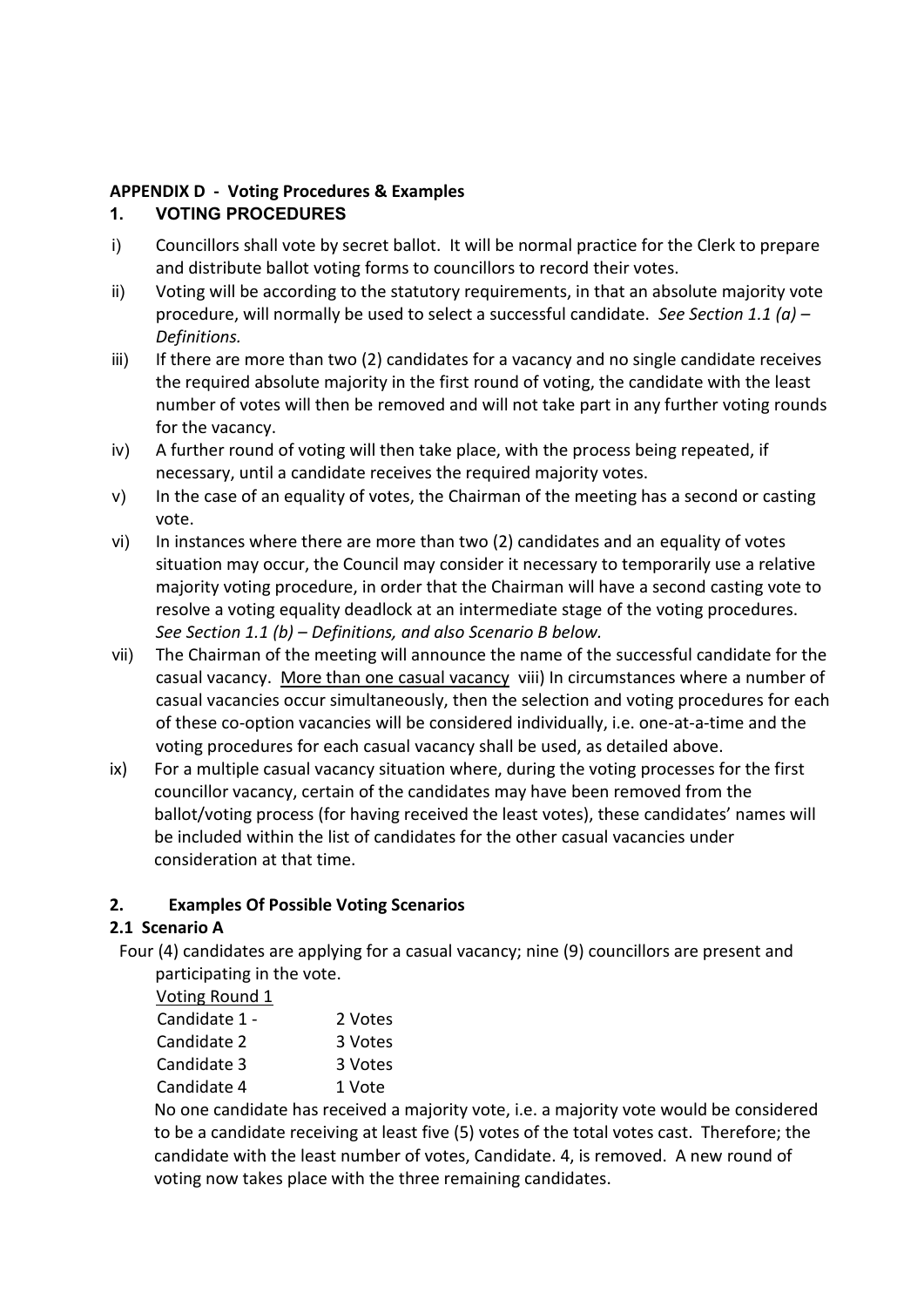# **APPENDIX D - Voting Procedures & Examples**

# **1. VOTING PROCEDURES**

- i) Councillors shall vote by secret ballot. It will be normal practice for the Clerk to prepare and distribute ballot voting forms to councillors to record their votes.
- ii) Voting will be according to the statutory requirements, in that an absolute majority vote procedure, will normally be used to select a successful candidate. *See Section 1.1 (a) – Definitions.*
- iii) If there are more than two (2) candidates for a vacancy and no single candidate receives the required absolute majority in the first round of voting, the candidate with the least number of votes will then be removed and will not take part in any further voting rounds for the vacancy.
- iv) A further round of voting will then take place, with the process being repeated, if necessary, until a candidate receives the required majority votes.
- v) In the case of an equality of votes, the Chairman of the meeting has a second or casting vote.
- vi) In instances where there are more than two (2) candidates and an equality of votes situation may occur, the Council may consider it necessary to temporarily use a relative majority voting procedure, in order that the Chairman will have a second casting vote to resolve a voting equality deadlock at an intermediate stage of the voting procedures. *See Section 1.1 (b) – Definitions, and also Scenario B below.*
- vii) The Chairman of the meeting will announce the name of the successful candidate for the casual vacancy. More than one casual vacancy viii) In circumstances where a number of casual vacancies occur simultaneously, then the selection and voting procedures for each of these co-option vacancies will be considered individually, i.e. one-at-a-time and the voting procedures for each casual vacancy shall be used, as detailed above.
- ix) For a multiple casual vacancy situation where, during the voting processes for the first councillor vacancy, certain of the candidates may have been removed from the ballot/voting process (for having received the least votes), these candidates' names will be included within the list of candidates for the other casual vacancies under consideration at that time.

# **2. Examples Of Possible Voting Scenarios**

# **2.1 Scenario A**

 Four (4) candidates are applying for a casual vacancy; nine (9) councillors are present and participating in the vote.

Voting Round 1

| Candidate 1 - | 2 Votes |
|---------------|---------|
| Candidate 2   | 3 Votes |
| Candidate 3   | 3 Votes |
| Candidate 4   | 1 Vote  |

 No one candidate has received a majority vote, i.e. a majority vote would be considered to be a candidate receiving at least five (5) votes of the total votes cast. Therefore; the candidate with the least number of votes, Candidate. 4, is removed. A new round of voting now takes place with the three remaining candidates.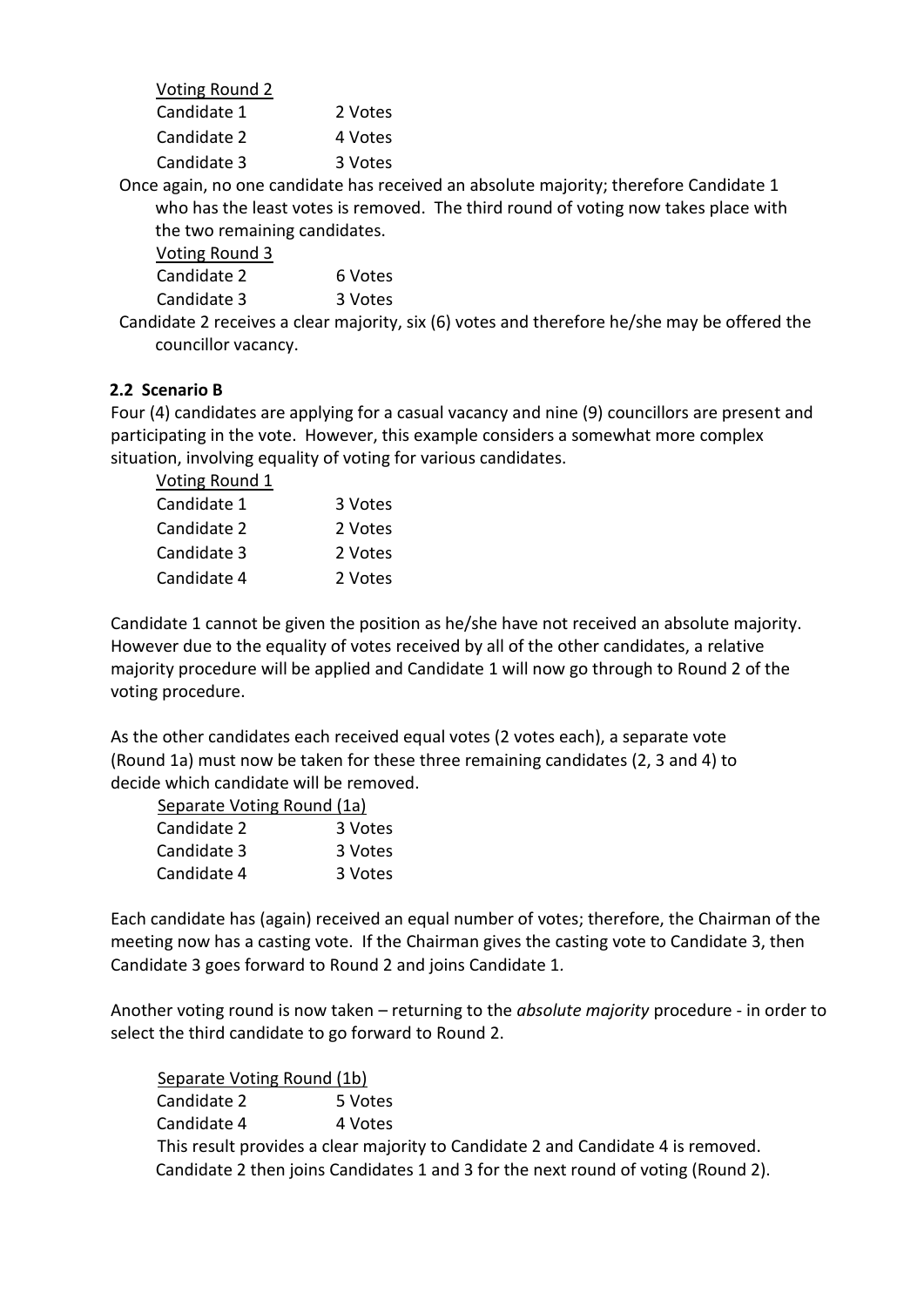| Voting Round 2 |         |
|----------------|---------|
| Candidate 1    | 2 Votes |
| Candidate 2    | 4 Votes |
| Candidate 3    | 3 Votes |
|                |         |

 Once again, no one candidate has received an absolute majority; therefore Candidate 1 who has the least votes is removed. The third round of voting now takes place with the two remaining candidates.

| Voting Round 3 |         |
|----------------|---------|
| Candidate 2    | 6 Votes |
| Candidate 3    | 3 Votes |

 Candidate 2 receives a clear majority, six (6) votes and therefore he/she may be offered the councillor vacancy.

## **2.2 Scenario B**

Four (4) candidates are applying for a casual vacancy and nine (9) councillors are present and participating in the vote. However, this example considers a somewhat more complex situation, involving equality of voting for various candidates.

| Voting Round 1 |         |
|----------------|---------|
| Candidate 1    | 3 Votes |
| Candidate 2    | 2 Votes |
| Candidate 3    | 2 Votes |
| Candidate 4    | 2 Votes |

Candidate 1 cannot be given the position as he/she have not received an absolute majority. However due to the equality of votes received by all of the other candidates, a relative majority procedure will be applied and Candidate 1 will now go through to Round 2 of the voting procedure.

As the other candidates each received equal votes (2 votes each), a separate vote (Round 1a) must now be taken for these three remaining candidates (2, 3 and 4) to decide which candidate will be removed.

| Separate Voting Round (1a) |         |
|----------------------------|---------|
| Candidate 2                | 3 Votes |
| Candidate 3                | 3 Votes |
| Candidate 4                | 3 Votes |

Each candidate has (again) received an equal number of votes; therefore, the Chairman of the meeting now has a casting vote. If the Chairman gives the casting vote to Candidate 3, then Candidate 3 goes forward to Round 2 and joins Candidate 1*.* 

Another voting round is now taken – returning to the *absolute majority* procedure - in order to select the third candidate to go forward to Round 2.

 Separate Voting Round (1b) Candidate 2 5 Votes Candidate 4 4 Votes This result provides a clear majority to Candidate 2 and Candidate 4 is removed. Candidate 2 then joins Candidates 1 and 3 for the next round of voting (Round 2).